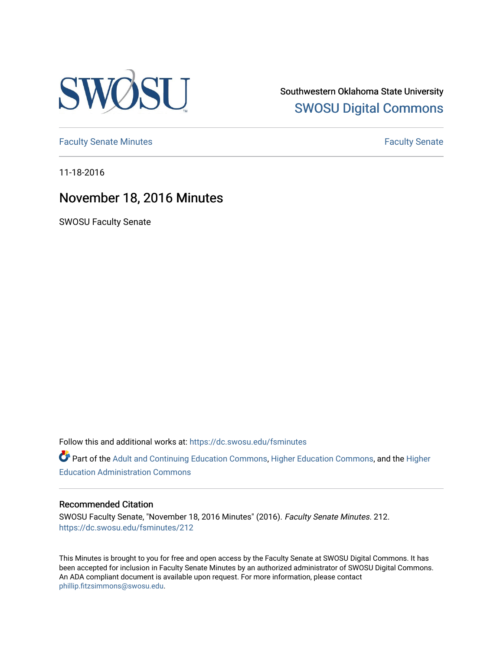

Southwestern Oklahoma State University [SWOSU Digital Commons](https://dc.swosu.edu/) 

[Faculty Senate Minutes](https://dc.swosu.edu/fsminutes) **Faculty** Senate Minutes

11-18-2016

# November 18, 2016 Minutes

SWOSU Faculty Senate

Follow this and additional works at: [https://dc.swosu.edu/fsminutes](https://dc.swosu.edu/fsminutes?utm_source=dc.swosu.edu%2Ffsminutes%2F212&utm_medium=PDF&utm_campaign=PDFCoverPages) 

Part of the [Adult and Continuing Education Commons,](http://network.bepress.com/hgg/discipline/1375?utm_source=dc.swosu.edu%2Ffsminutes%2F212&utm_medium=PDF&utm_campaign=PDFCoverPages) [Higher Education Commons,](http://network.bepress.com/hgg/discipline/1245?utm_source=dc.swosu.edu%2Ffsminutes%2F212&utm_medium=PDF&utm_campaign=PDFCoverPages) and the [Higher](http://network.bepress.com/hgg/discipline/791?utm_source=dc.swosu.edu%2Ffsminutes%2F212&utm_medium=PDF&utm_campaign=PDFCoverPages) [Education Administration Commons](http://network.bepress.com/hgg/discipline/791?utm_source=dc.swosu.edu%2Ffsminutes%2F212&utm_medium=PDF&utm_campaign=PDFCoverPages) 

#### Recommended Citation

SWOSU Faculty Senate, "November 18, 2016 Minutes" (2016). Faculty Senate Minutes. 212. [https://dc.swosu.edu/fsminutes/212](https://dc.swosu.edu/fsminutes/212?utm_source=dc.swosu.edu%2Ffsminutes%2F212&utm_medium=PDF&utm_campaign=PDFCoverPages) 

This Minutes is brought to you for free and open access by the Faculty Senate at SWOSU Digital Commons. It has been accepted for inclusion in Faculty Senate Minutes by an authorized administrator of SWOSU Digital Commons. An ADA compliant document is available upon request. For more information, please contact [phillip.fitzsimmons@swosu.edu](mailto:phillip.fitzsimmons@swosu.edu).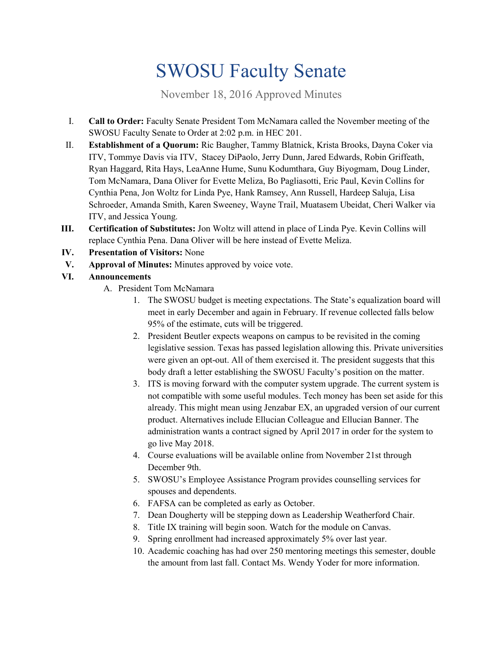# SWOSU Faculty Senate

November 18, 2016 Approved Minutes

- I. **Call to Order:** Faculty Senate President Tom McNamara called the November meeting of the SWOSU Faculty Senate to Order at 2:02 p.m. in HEC 201.
- II. **Establishment of a Quorum:** Ric Baugher, Tammy Blatnick, Krista Brooks, Dayna Coker via ITV, Tommye Davis via ITV, Stacey DiPaolo, Jerry Dunn, Jared Edwards, Robin Griffeath, Ryan Haggard, Rita Hays, LeaAnne Hume, Sunu Kodumthara, Guy Biyogmam, Doug Linder, Tom McNamara, Dana Oliver for Evette Meliza, Bo Pagliasotti, Eric Paul, Kevin Collins for Cynthia Pena, Jon Woltz for Linda Pye, Hank Ramsey, Ann Russell, Hardeep Saluja, Lisa Schroeder, Amanda Smith, Karen Sweeney, Wayne Trail, Muatasem Ubeidat, Cheri Walker via ITV, and Jessica Young.
- **III. Certification of Substitutes:** Jon Woltz will attend in place of Linda Pye. Kevin Collins will replace Cynthia Pena. Dana Oliver will be here instead of Evette Meliza.
- **IV. Presentation of Visitors:** None
- **V. Approval of Minutes:** Minutes approved by voice vote.

# **VI. Announcements**

- A. President Tom McNamara
	- 1. The SWOSU budget is meeting expectations. The State's equalization board will meet in early December and again in February. If revenue collected falls below 95% of the estimate, cuts will be triggered.
	- 2. President Beutler expects weapons on campus to be revisited in the coming legislative session. Texas has passed legislation allowing this. Private universities were given an opt-out. All of them exercised it. The president suggests that this body draft a letter establishing the SWOSU Faculty's position on the matter.
	- 3. ITS is moving forward with the computer system upgrade. The current system is not compatible with some useful modules. Tech money has been set aside for this already. This might mean using Jenzabar EX, an upgraded version of our current product. Alternatives include Ellucian Colleague and Ellucian Banner. The administration wants a contract signed by April 2017 in order for the system to go live May 2018.
	- 4. Course evaluations will be available online from November 21st through December 9th.
	- 5. SWOSU's Employee Assistance Program provides counselling services for spouses and dependents.
	- 6. FAFSA can be completed as early as October.
	- 7. Dean Dougherty will be stepping down as Leadership Weatherford Chair.
	- 8. Title IX training will begin soon. Watch for the module on Canvas.
	- 9. Spring enrollment had increased approximately 5% over last year.
	- 10. Academic coaching has had over 250 mentoring meetings this semester, double the amount from last fall. Contact Ms. Wendy Yoder for more information.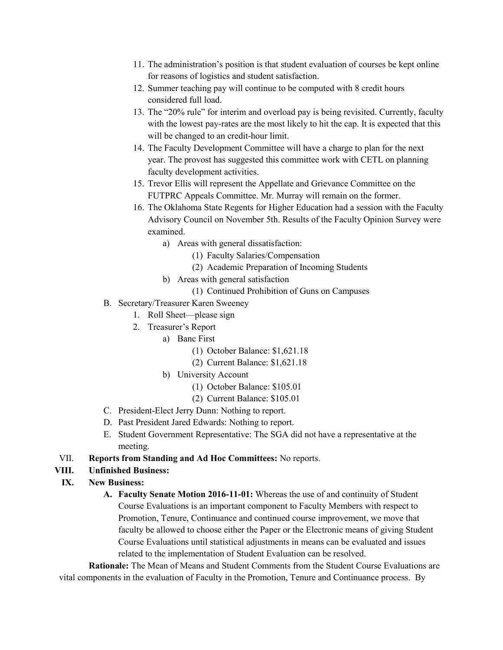- 11. The administration's position is that student evaluation of courses be kept online for reasons of logistics and student satisfaction.
- 12. Summer teaching pay will continue to be computed with 8 credit hours considered full load.
- 13. The "20% rule" for interim and overload pay is being revisited. Currently, faculty with the lowest pay-rates are the most likely to hit the cap. It is expected that this will be changed to an credit-hour limit.
- 14. The Faculty Development Committee will have a charge to plan for the next year. The provost has suggested this committee work with CETL on planning faculty development activities.
- 15. Trevor Ellis will represent the Appellate and Grievance Committee on the FUTPRC Appeals Committee. Mr. Murray will remain on the former.
- 16. The Oklahoma State Regents for Higher Education had a session with the Faculty Advisory Council on November 5th. Results of the Faculty Opinion Survey were examined.
	- a) Areas with general dissatisfaction:
		- (1) Faculty Salaries/Compensation
		- (2) Academic Preparation of Incoming Students
	- b) Areas with general satisfaction
		- (1) Continued Prohibition of Guns on Campuses
- B. Secretary/Treasurer Karen Sweeney
	- 1. Roll Sheet—please sign
	- 2. Treasurer's Report
		- a) Banc First
			- (1) October Balance: \$1,621.18
			- (2) Current Balance: \$1,621.18
		- b) University Account
			- (1) October Balance: \$105.01
			- (2) Current Balance: \$105.01
- C. President-Elect Jerry Dunn: Nothing to report.
- D. Past President Jared Edwards: Nothing to report.
- E. Student Government Representative: The SGA did not have a representative at the meeting.
- VII. **Reports from Standing and Ad Hoc Committees:** No reports.

# **VIII. Unfinished Business:**

# **IX. New Business:**

**A. Faculty Senate Motion 2016-11-01:** Whereas the use of and continuity of Student Course Evaluations is an important component to Faculty Members with respect to Promotion, Tenure, Continuance and continued course improvement, we move that faculty be allowed to choose either the Paper or the Electronic means of giving Student Course Evaluations until statistical adjustments in means can be evaluated and issues related to the implementation of Student Evaluation can be resolved.

**Rationale:** The Mean of Means and Student Comments from the Student Course Evaluations are vital components in the evaluation of Faculty in the Promotion, Tenure and Continuance process. By